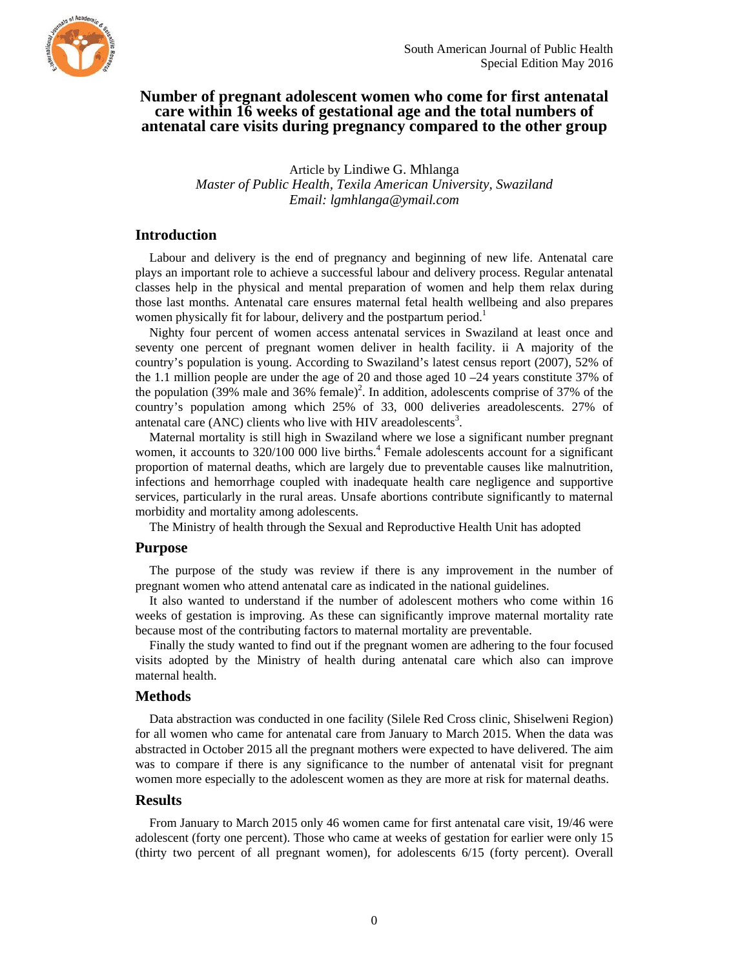

# **Number of pregnant adolescent women who come for first antenatal care within 16 weeks of gestational age and the total numbers of antenatal care visits during pregnancy compared to the other group**

Article by Lindiwe G. Mhlanga *Master of Public Health, Texila American University, Swaziland Email: lgmhlanga@ymail.com* 

## **Introduction**

Labour and delivery is the end of pregnancy and beginning of new life. Antenatal care plays an important role to achieve a successful labour and delivery process. Regular antenatal classes help in the physical and mental preparation of women and help them relax during those last months. Antenatal care ensures maternal fetal health wellbeing and also prepares women physically fit for labour, delivery and the postpartum period.<sup>1</sup>

Nighty four percent of women access antenatal services in Swaziland at least once and seventy one percent of pregnant women deliver in health facility. ii A majority of the country's population is young. According to Swaziland's latest census report (2007), 52% of the 1.1 million people are under the age of 20 and those aged 10 –24 years constitute 37% of the population (39% male and 36% female)<sup>2</sup>. In addition, adolescents comprise of 37% of the country's population among which 25% of 33, 000 deliveries areadolescents. 27% of antenatal care  $(ANC)$  clients who live with HIV areadolescents<sup>3</sup>.

Maternal mortality is still high in Swaziland where we lose a significant number pregnant women, it accounts to 320/100 000 live births.<sup>4</sup> Female adolescents account for a significant proportion of maternal deaths, which are largely due to preventable causes like malnutrition, infections and hemorrhage coupled with inadequate health care negligence and supportive services, particularly in the rural areas. Unsafe abortions contribute significantly to maternal morbidity and mortality among adolescents.

The Ministry of health through the Sexual and Reproductive Health Unit has adopted

#### **Purpose**

The purpose of the study was review if there is any improvement in the number of pregnant women who attend antenatal care as indicated in the national guidelines.

It also wanted to understand if the number of adolescent mothers who come within 16 weeks of gestation is improving. As these can significantly improve maternal mortality rate because most of the contributing factors to maternal mortality are preventable.

Finally the study wanted to find out if the pregnant women are adhering to the four focused visits adopted by the Ministry of health during antenatal care which also can improve maternal health.

#### **Methods**

Data abstraction was conducted in one facility (Silele Red Cross clinic, Shiselweni Region) for all women who came for antenatal care from January to March 2015. When the data was abstracted in October 2015 all the pregnant mothers were expected to have delivered. The aim was to compare if there is any significance to the number of antenatal visit for pregnant women more especially to the adolescent women as they are more at risk for maternal deaths.

### **Results**

From January to March 2015 only 46 women came for first antenatal care visit, 19/46 were adolescent (forty one percent). Those who came at weeks of gestation for earlier were only 15 (thirty two percent of all pregnant women), for adolescents 6/15 (forty percent). Overall